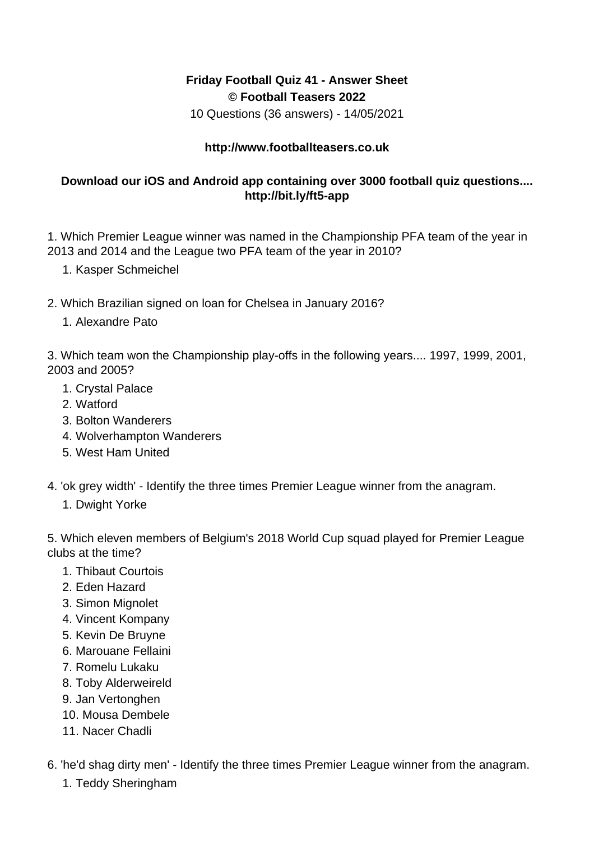## **Friday Football Quiz 41 - Answer Sheet © Football Teasers 2022**

10 Questions (36 answers) - 14/05/2021

## **http://www.footballteasers.co.uk**

## **Download our iOS and Android app containing over 3000 football quiz questions.... http://bit.ly/ft5-app**

1. Which Premier League winner was named in the Championship PFA team of the year in 2013 and 2014 and the League two PFA team of the year in 2010?

- 1. Kasper Schmeichel
- 2. Which Brazilian signed on loan for Chelsea in January 2016?
	- 1. Alexandre Pato

3. Which team won the Championship play-offs in the following years.... 1997, 1999, 2001, 2003 and 2005?

- 1. Crystal Palace
- 2. Watford
- 3. Bolton Wanderers
- 4. Wolverhampton Wanderers
- 5. West Ham United
- 4. 'ok grey width' Identify the three times Premier League winner from the anagram.
	- 1. Dwight Yorke

5. Which eleven members of Belgium's 2018 World Cup squad played for Premier League clubs at the time?

- 1. Thibaut Courtois
- 2. Eden Hazard
- 3. Simon Mignolet
- 4. Vincent Kompany
- 5. Kevin De Bruyne
- 6. Marouane Fellaini
- 7. Romelu Lukaku
- 8. Toby Alderweireld
- 9. Jan Vertonghen
- 10. Mousa Dembele
- 11. Nacer Chadli
- 6. 'he'd shag dirty men' Identify the three times Premier League winner from the anagram.
	- 1. Teddy Sheringham